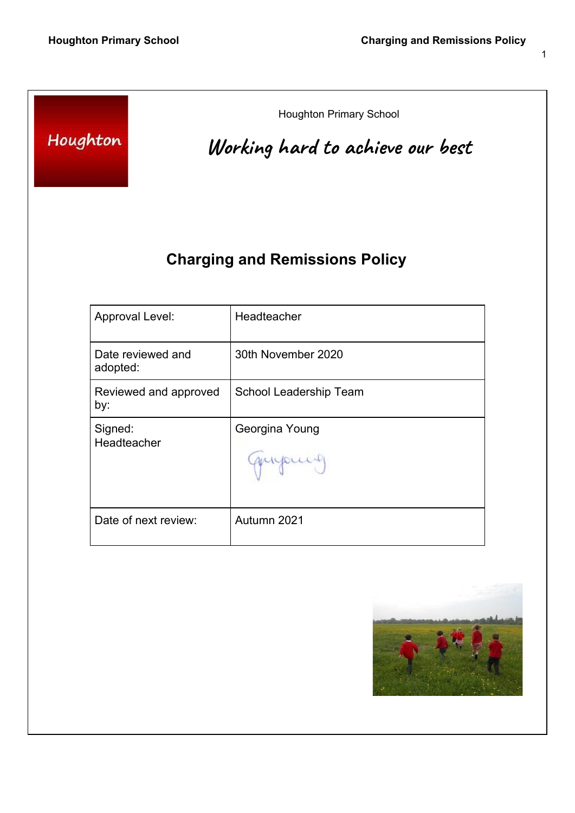| Houghton                      | <b>Houghton Primary School</b><br>Working hard to achieve our best |
|-------------------------------|--------------------------------------------------------------------|
|                               | <b>Charging and Remissions Policy</b>                              |
| Approval Level:               | Headteacher                                                        |
| Date reviewed and<br>adopted: | 30th November 2020                                                 |
| Reviewed and approved<br>by:  | School Leadership Team                                             |
| Signed:<br>Headteacher        | Georgina Young<br>quipuis                                          |
| Date of next review:          | Autumn 2021                                                        |
|                               |                                                                    |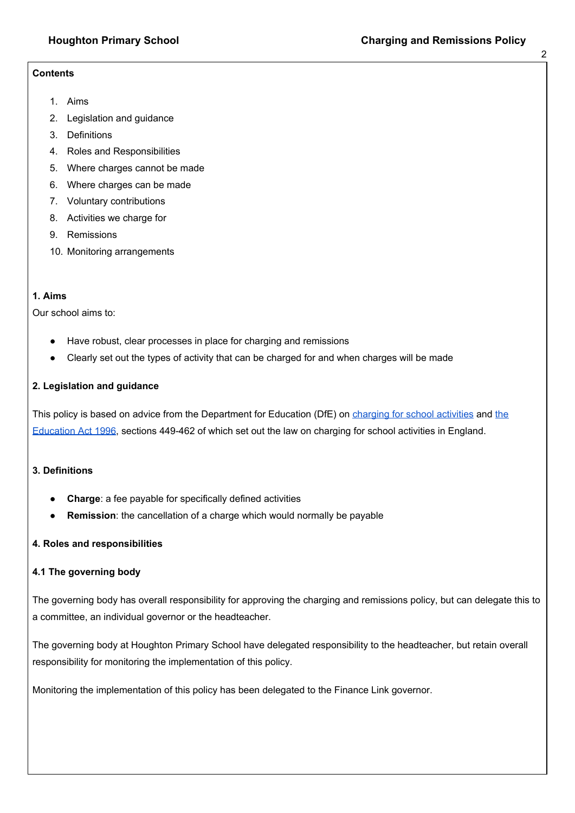#### **Contents**

- 1. Aims
- 2. Legislation and guidance
- 3. Definitions
- 4. Roles and Responsibilities
- 5. Where charges cannot be made
- 6. Where charges can be made
- 7. Voluntary contributions
- 8. Activities we charge for
- 9. Remissions
- 10. Monitoring arrangements

#### **1. Aims**

Our school aims to:

- Have robust, clear processes in place for charging and remissions
- Clearly set out the types of activity that can be charged for and when charges will be made

### **2. Legislation and guidance**

This poli[c](https://www.gov.uk/government/publications/charging-for-school-activities)y is based on advice from the Department for Education (DfE) on charging for school [activities](https://www.gov.uk/government/publications/charging-for-school-activities) an[d](http://www.legislation.gov.uk/ukpga/1996/56/part/VI/chapter/III) [the](http://www.legislation.gov.uk/ukpga/1996/56/part/VI/chapter/III) [Education](http://www.legislation.gov.uk/ukpga/1996/56/part/VI/chapter/III) Act 1996, sections 449-462 of which set out the law on charging for school activities in England.

### **3. Definitions**

- **Charge:** a fee payable for specifically defined activities
- **Remission**: the cancellation of a charge which would normally be payable

### **4. Roles and responsibilities**

### **4.1 The governing body**

The governing body has overall responsibility for approving the charging and remissions policy, but can delegate this to a committee, an individual governor or the headteacher.

The governing body at Houghton Primary School have delegated responsibility to the headteacher, but retain overall responsibility for monitoring the implementation of this policy.

Monitoring the implementation of this policy has been delegated to the Finance Link governor.

2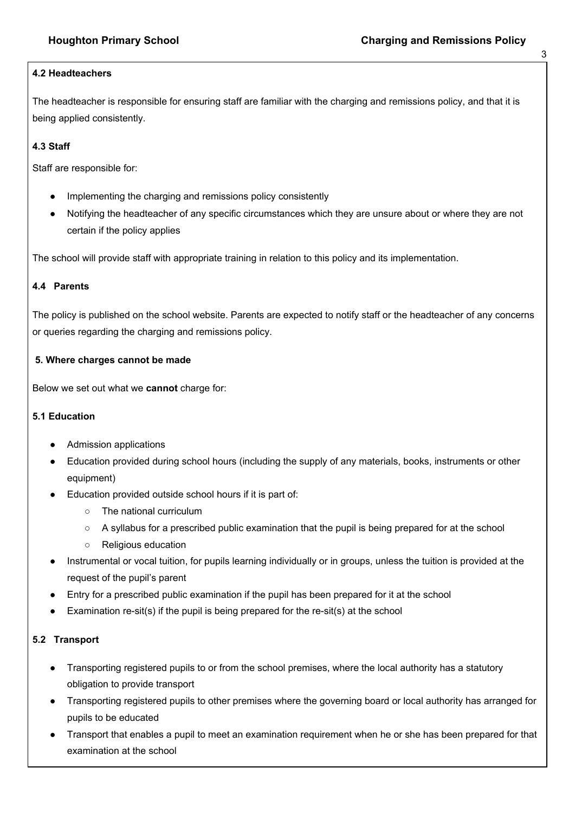# **4.2 Headteachers**

The headteacher is responsible for ensuring staff are familiar with the charging and remissions policy, and that it is being applied consistently.

# **4.3 Staff**

Staff are responsible for:

- Implementing the charging and remissions policy consistently
- Notifying the headteacher of any specific circumstances which they are unsure about or where they are not certain if the policy applies

The school will provide staff with appropriate training in relation to this policy and its implementation.

# **4.4 Parents**

The policy is published on the school website. Parents are expected to notify staff or the headteacher of any concerns or queries regarding the charging and remissions policy.

### **5. Where charges cannot be made**

Below we set out what we **cannot** charge for:

### **5.1 Education**

- Admission applications
- Education provided during school hours (including the supply of any materials, books, instruments or other equipment)
- Education provided outside school hours if it is part of:
	- The national curriculum
	- A syllabus for a prescribed public examination that the pupil is being prepared for at the school
	- Religious education
- Instrumental or vocal tuition, for pupils learning individually or in groups, unless the tuition is provided at the request of the pupil's parent
- Entry for a prescribed public examination if the pupil has been prepared for it at the school
- Examination re-sit(s) if the pupil is being prepared for the re-sit(s) at the school

# **5.2 Transport**

- Transporting registered pupils to or from the school premises, where the local authority has a statutory obligation to provide transport
- Transporting registered pupils to other premises where the governing board or local authority has arranged for pupils to be educated
- Transport that enables a pupil to meet an examination requirement when he or she has been prepared for that examination at the school

3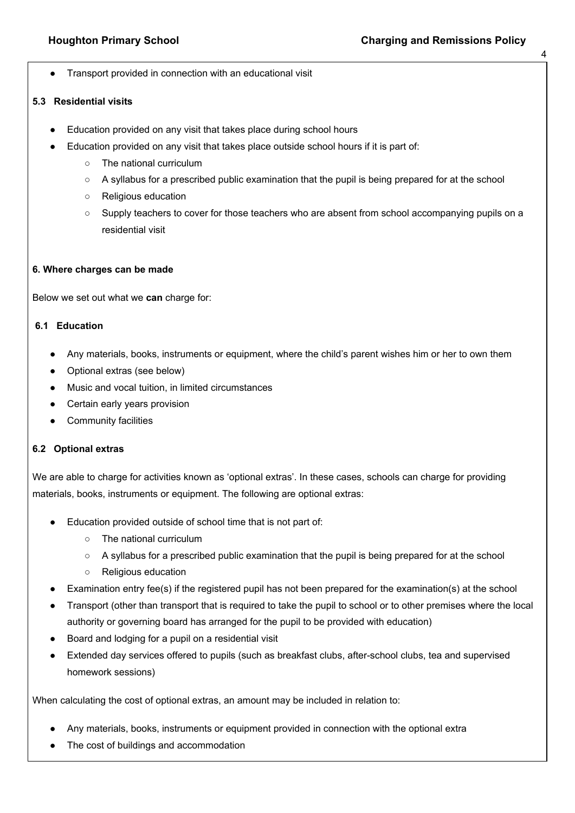4

Transport provided in connection with an educational visit

### **5.3 Residential visits**

- Education provided on any visit that takes place during school hours
- Education provided on any visit that takes place outside school hours if it is part of:
	- The national curriculum
	- A syllabus for a prescribed public examination that the pupil is being prepared for at the school
	- Religious education
	- Supply teachers to cover for those teachers who are absent from school accompanying pupils on a residential visit

#### **6. Where charges can be made**

Below we set out what we **can** charge for:

### **6.1 Education**

- Any materials, books, instruments or equipment, where the child's parent wishes him or her to own them
- Optional extras (see below)
- Music and vocal tuition, in limited circumstances
- Certain early years provision
- Community facilities

### **6.2 Optional extras**

We are able to charge for activities known as 'optional extras'. In these cases, schools can charge for providing materials, books, instruments or equipment. The following are optional extras:

- Education provided outside of school time that is not part of:
	- The national curriculum
	- A syllabus for a prescribed public examination that the pupil is being prepared for at the school
	- Religious education
- Examination entry fee(s) if the registered pupil has not been prepared for the examination(s) at the school
- Transport (other than transport that is required to take the pupil to school or to other premises where the local authority or governing board has arranged for the pupil to be provided with education)
- Board and lodging for a pupil on a residential visit
- Extended day services offered to pupils (such as breakfast clubs, after-school clubs, tea and supervised homework sessions)

When calculating the cost of optional extras, an amount may be included in relation to:

- Any materials, books, instruments or equipment provided in connection with the optional extra
- The cost of buildings and accommodation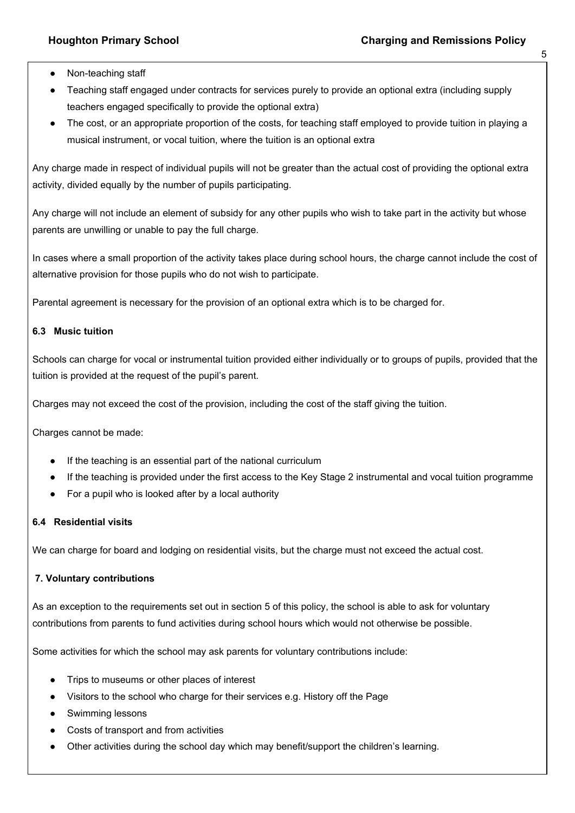- Non-teaching staff
- Teaching staff engaged under contracts for services purely to provide an optional extra (including supply teachers engaged specifically to provide the optional extra)
- The cost, or an appropriate proportion of the costs, for teaching staff employed to provide tuition in playing a musical instrument, or vocal tuition, where the tuition is an optional extra

Any charge made in respect of individual pupils will not be greater than the actual cost of providing the optional extra activity, divided equally by the number of pupils participating.

Any charge will not include an element of subsidy for any other pupils who wish to take part in the activity but whose parents are unwilling or unable to pay the full charge.

In cases where a small proportion of the activity takes place during school hours, the charge cannot include the cost of alternative provision for those pupils who do not wish to participate.

Parental agreement is necessary for the provision of an optional extra which is to be charged for.

# **6.3 Music tuition**

Schools can charge for vocal or instrumental tuition provided either individually or to groups of pupils, provided that the tuition is provided at the request of the pupil's parent.

Charges may not exceed the cost of the provision, including the cost of the staff giving the tuition.

Charges cannot be made:

- If the teaching is an essential part of the national curriculum
- If the teaching is provided under the first access to the Key Stage 2 instrumental and vocal tuition programme
- For a pupil who is looked after by a local authority

# **6.4 Residential visits**

We can charge for board and lodging on residential visits, but the charge must not exceed the actual cost.

# **7. Voluntary contributions**

As an exception to the requirements set out in section 5 of this policy, the school is able to ask for voluntary contributions from parents to fund activities during school hours which would not otherwise be possible.

Some activities for which the school may ask parents for voluntary contributions include:

- Trips to museums or other places of interest
- Visitors to the school who charge for their services e.g. History off the Page
- Swimming lessons
- Costs of transport and from activities
- Other activities during the school day which may benefit/support the children's learning.